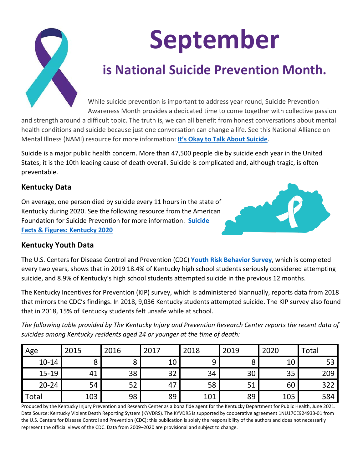

# **September**

## **is National Suicide Prevention Month.**

While suicide prevention is important to address year round, Suicide Prevention Awareness Month provides a dedicated time to come together with collective passion

and strength around a difficult topic. The truth is, we can all benefit from honest conversations about mental health conditions and suicide because just one conversation can change a life. See this National Alliance on Mental Illness (NAMI) resource for more information: **[It's Okay to Talk About Suicide](https://www.nami.org/NAMI/media/NAMI-Media/Infographics/NAMI_Suicide_2020_FINAL.pdf)**.

Suicide is a major public health concern. More than 47,500 people die by suicide each year in the United States; it is the 10th leading cause of death overall. Suicide is complicated and, although tragic, is often preventable.

#### **Kentucky Data**

On average, one person died by suicide every 11 hours in the state of Kentucky during 2020. See the following resource from the American Foundation for Suicide Prevention for more information: **[Suicide](https://aws-fetch.s3.amazonaws.com/state-fact-sheets/2020/2020-state-fact-sheets-kentucky.pdf)  [Facts & Figures: Kentucky 2020](https://aws-fetch.s3.amazonaws.com/state-fact-sheets/2020/2020-state-fact-sheets-kentucky.pdf)**



#### **Kentucky Youth Data**

The U.S. Centers for Disease Control and Prevention (CDC) **[Youth Risk Behavior Survey](https://www.cdc.gov/healthyyouth/data/yrbs/index.htm)**, which is completed every two years, shows that in 2019 18.4% of Kentucky high school students seriously considered attempting suicide, and 8.9% of Kentucky's high school students attempted suicide in the previous 12 months.

The Kentucky Incentives for Prevention (KIP) survey, which is administered biannually, reports data from 2018 that mirrors the CDC's findings. In 2018, 9,036 Kentucky students attempted suicide. The KIP survey also found that in 2018, 15% of Kentucky students felt unsafe while at school.

*The following table provided by The Kentucky Injury and Prevention Research Center reports the recent data of suicides among Kentucky residents aged 24 or younger at the time of death:*

| Age       | 2015         | 2016 | 2017 | 2018 | 2019 | 2020 | Total |
|-----------|--------------|------|------|------|------|------|-------|
| $10 - 14$ | $\circ$<br>Ο |      | 10   | 9    |      | 10   | 53    |
| $15 - 19$ | 41           | 38   | 32   | 34   | 30   | 35   | 209   |
| $20 - 24$ | 54           | 52   | 47   | 58   | 51   | 60   | 322   |
| Total     | 103          | 98   | 89   | 101  | 89   | 105  | 584   |

Produced by the Kentucky Injury Prevention and Research Center as a bona fide agent for the Kentucky Department for Public Health, June 2021. Data Source: Kentucky Violent Death Reporting System (KYVDRS). The KYVDRS is supported by cooperative agreement 1NU17CE924933-01 from the U.S. Centers for Disease Control and Prevention (CDC); this publication is solely the responsibility of the authors and does not necessarily represent the official views of the CDC. Data from 2009–2020 are provisional and subject to change.